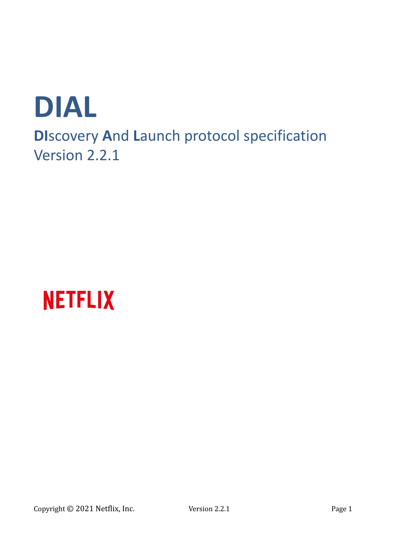



Copyright © 2021 Netflix, Inc. Version 2.2.1 Page 1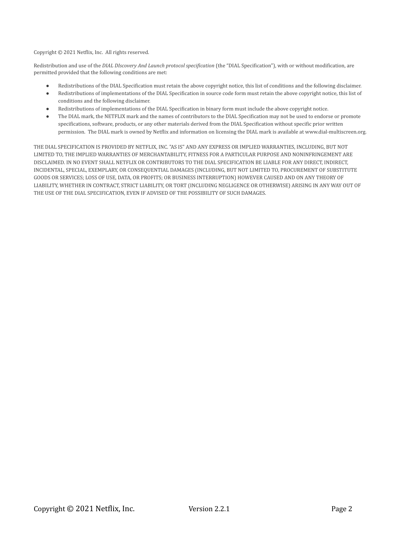Copyright © 2021 Netflix, Inc. All rights reserved.

Redistribution and use of the *DIAL DIscovery And Launch protocol specification* (the "DIAL Specification"), with or without modification, are permitted provided that the following conditions are met:

- Redistributions of the DIAL Specification must retain the above copyright notice, this list of conditions and the following disclaimer.
- Redistributions of implementations of the DIAL Specification in source code form must retain the above copyright notice, this list of conditions and the following disclaimer.
- Redistributions of implementations of the DIAL Specification in binary form must include the above copyright notice.
- The DIAL mark, the NETFLIX mark and the names of contributors to the DIAL Specification may not be used to endorse or promote specifications, software, products, or any other materials derived from the DIAL Specification without specific prior written permission. The DIAL mark is owned by Netflix and information on licensing the DIAL mark is available at www.dial-multiscreen.org.

THE DIAL SPECIFICATION IS PROVIDED BY NETFLIX, INC. "AS IS" AND ANY EXPRESS OR IMPLIED WARRANTIES, INCLUDING, BUT NOT LIMITED TO, THE IMPLIED WARRANTIES OF MERCHANTABILITY, FITNESS FOR A PARTICULAR PURPOSE AND NONINFRINGEMENT ARE DISCLAIMED. IN NO EVENT SHALL NETFLIX OR CONTRIBUTORS TO THE DIAL SPECIFICATION BE LIABLE FOR ANY DIRECT, INDIRECT, INCIDENTAL, SPECIAL, EXEMPLARY, OR CONSEQUENTIAL DAMAGES (INCLUDING, BUT NOT LIMITED TO, PROCUREMENT OF SUBSTITUTE GOODS OR SERVICES; LOSS OF USE, DATA, OR PROFITS; OR BUSINESS INTERRUPTION) HOWEVER CAUSED AND ON ANY THEORY OF LIABILITY, WHETHER IN CONTRACT, STRICT LIABILITY, OR TORT (INCLUDING NEGLIGENCE OR OTHERWISE) ARISING IN ANY WAY OUT OF THE USE OF THE DIAL SPECIFICATION, EVEN IF ADVISED OF THE POSSIBILITY OF SUCH DAMAGES.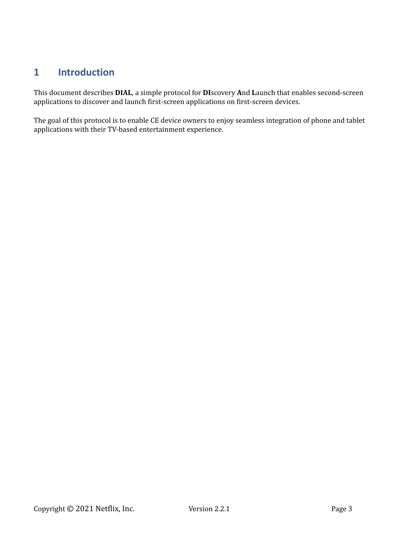# **1 Introduction**

This document describes **DIAL**, a simple protocol for **DI**scovery **A**nd **L**aunch that enables second-screen applications to discover and launch first-screen applications on first-screen devices.

The goal of this protocol is to enable CE device owners to enjoy seamless integration of phone and tablet applications with their TV-based entertainment experience.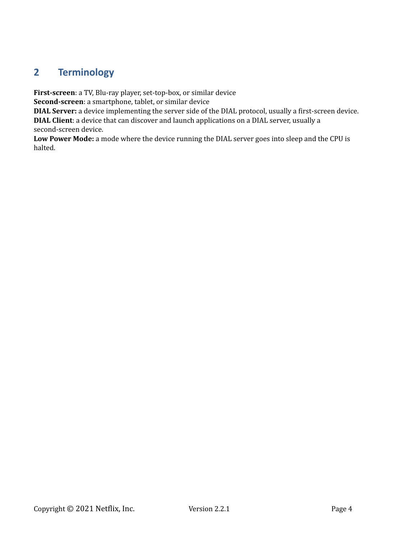# **2 Terminology**

**First-screen**: a TV, Blu-ray player, set-top-box, or similar device

**Second-screen**: a smartphone, tablet, or similar device

**DIAL Server:** a device implementing the server side of the DIAL protocol, usually a first-screen device. **DIAL Client**: a device that can discover and launch applications on a DIAL server, usually a

second-screen device.

**Low Power Mode:** a mode where the device running the DIAL server goes into sleep and the CPU is halted.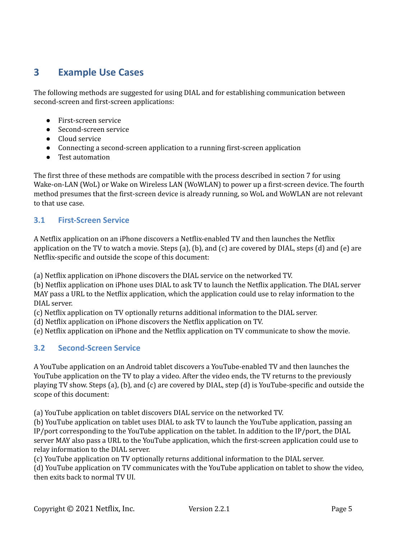# **3 Example Use Cases**

The following methods are suggested for using DIAL and for establishing communication between second-screen and first-screen applications:

- First-screen service
- Second-screen service
- Cloud service
- Connecting a second-screen application to a running first-screen application
- Test automation

The first three of these methods are compatible with the process described in section 7 for using Wake-on-LAN (WoL) or Wake on Wireless LAN (WoWLAN) to power up a first-screen device. The fourth method presumes that the first-screen device is already running, so WoL and WoWLAN are not relevant to that use case.

# **3.1 First-Screen Service**

A Netflix application on an iPhone discovers a Netflix-enabled TV and then launches the Netflix application on the TV to watch a movie. Steps (a), (b), and (c) are covered by DIAL, steps (d) and (e) are Netflix-specific and outside the scope of this document:

(a) Netflix application on iPhone discovers the DIAL service on the networked TV.

(b) Netflix application on iPhone uses DIAL to ask TV to launch the Netflix application. The DIAL server MAY pass a URL to the Netflix application, which the application could use to relay information to the DIAL server.

(c) Netflix application on TV optionally returns additional information to the DIAL server.

(d) Netflix application on iPhone discovers the Netflix application on TV.

(e) Netflix application on iPhone and the Netflix application on TV communicate to show the movie.

## **3.2 Second-Screen Service**

A YouTube application on an Android tablet discovers a YouTube-enabled TV and then launches the YouTube application on the TV to play a video. After the video ends, the TV returns to the previously playing TV show. Steps (a), (b), and (c) are covered by DIAL, step (d) is YouTube-specific and outside the scope of this document:

(a) YouTube application on tablet discovers DIAL service on the networked TV.

(b) YouTube application on tablet uses DIAL to ask TV to launch the YouTube application, passing an IP/port corresponding to the YouTube application on the tablet. In addition to the IP/port, the DIAL server MAY also pass a URL to the YouTube application, which the first-screen application could use to relay information to the DIAL server.

(c) YouTube application on TV optionally returns additional information to the DIAL server.

(d) YouTube application on TV communicates with the YouTube application on tablet to show the video, then exits back to normal TV UI.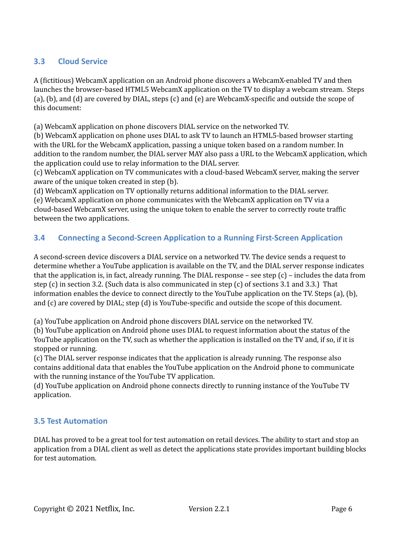## **3.3 Cloud Service**

A (fictitious) WebcamX application on an Android phone discovers a WebcamX-enabled TV and then launches the browser-based HTML5 WebcamX application on the TV to display a webcam stream. Steps (a), (b), and (d) are covered by DIAL, steps (c) and (e) are WebcamX-specific and outside the scope of this document:

(a) WebcamX application on phone discovers DIAL service on the networked TV.

(b) WebcamX application on phone uses DIAL to ask TV to launch an HTML5-based browser starting with the URL for the WebcamX application, passing a unique token based on a random number. In addition to the random number, the DIAL server MAY also pass a URL to the WebcamX application, which the application could use to relay information to the DIAL server.

(c) WebcamX application on TV communicates with a cloud-based WebcamX server, making the server aware of the unique token created in step (b).

(d) WebcamX application on TV optionally returns additional information to the DIAL server. (e) WebcamX application on phone communicates with the WebcamX application on TV via a cloud-based WebcamX server, using the unique token to enable the server to correctly route traffic between the two applications.

## **3.4 Connecting a Second-Screen Application to a Running First-Screen Application**

A second-screen device discovers a DIAL service on a networked TV. The device sends a request to determine whether a YouTube application is available on the TV, and the DIAL server response indicates that the application is, in fact, already running. The DIAL response – see step  $(c)$  – includes the data from step (c) in section 3.2. (Such data is also communicated in step (c) of sections 3.1 and 3.3.) That information enables the device to connect directly to the YouTube application on the TV. Steps (a), (b), and (c) are covered by DIAL; step (d) is YouTube-specific and outside the scope of this document.

(a) YouTube application on Android phone discovers DIAL service on the networked TV.

(b) YouTube application on Android phone uses DIAL to request information about the status of the YouTube application on the TV, such as whether the application is installed on the TV and, if so, if it is stopped or running.

(c) The DIAL server response indicates that the application is already running. The response also contains additional data that enables the YouTube application on the Android phone to communicate with the running instance of the YouTube TV application.

(d) YouTube application on Android phone connects directly to running instance of the YouTube TV application.

## **3.5 Test Automation**

DIAL has proved to be a great tool for test automation on retail devices. The ability to start and stop an application from a DIAL client as well as detect the applications state provides important building blocks for test automation.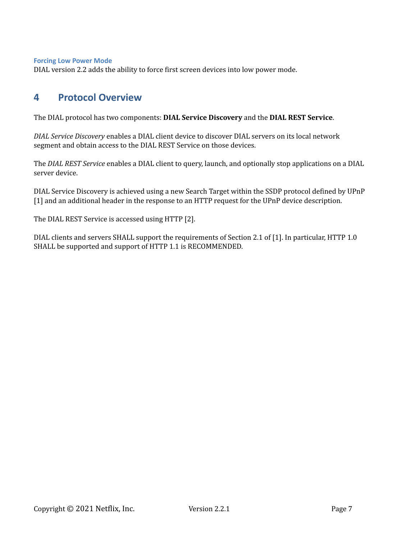**Forcing Low Power Mode**

DIAL version 2.2 adds the ability to force first screen devices into low power mode.

# **4 Protocol Overview**

The DIAL protocol has two components: **DIAL Service Discovery** and the **DIAL REST Service**.

*DIAL Service Discovery* enables a DIAL client device to discover DIAL servers on its local network segment and obtain access to the DIAL REST Service on those devices.

The *DIAL REST Service* enables a DIAL client to query, launch, and optionally stop applications on a DIAL server device.

DIAL Service Discovery is achieved using a new Search Target within the SSDP protocol defined by UPnP [1] and an additional header in the response to an HTTP request for the UPnP device description.

The DIAL REST Service is accessed using HTTP [2].

DIAL clients and servers SHALL support the requirements of Section 2.1 of [1]. In particular, HTTP 1.0 SHALL be supported and support of HTTP 1.1 is RECOMMENDED.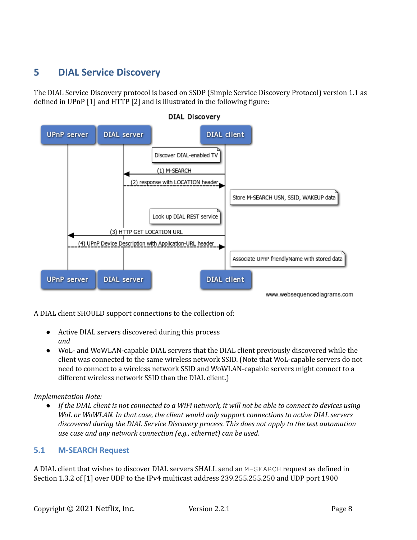# **5 DIAL Service Discovery**

The DIAL Service Discovery protocol is based on SSDP (Simple Service Discovery Protocol) version 1.1 as defined in UPnP [1] and HTTP [2] and is illustrated in the following figure:



A DIAL client SHOULD support connections to the collection of:

- Active DIAL servers discovered during this process *and*
- WoL- and WoWLAN-capable DIAL servers that the DIAL client previously discovered while the client was connected to the same wireless network SSID. (Note that WoL-capable servers do not need to connect to a wireless network SSID and WoWLAN-capable servers might connect to a different wireless network SSID than the DIAL client.)

## *Implementation Note:*

• If the DIAL client is not connected to a WiFi network, it will not be able to connect to devices using *WoL or WoWLAN. In that case, the client would only support connections to active DIAL servers discovered during the DIAL Service Discovery process. This does not apply to the test automation use case and any network connection (e.g., ethernet) can be used.*

## **5.1 M-SEARCH Request**

A DIAL client that wishes to discover DIAL servers SHALL send an M-SEARCH request as defined in Section 1.3.2 of [1] over UDP to the IPv4 multicast address 239.255.255.250 and UDP port 1900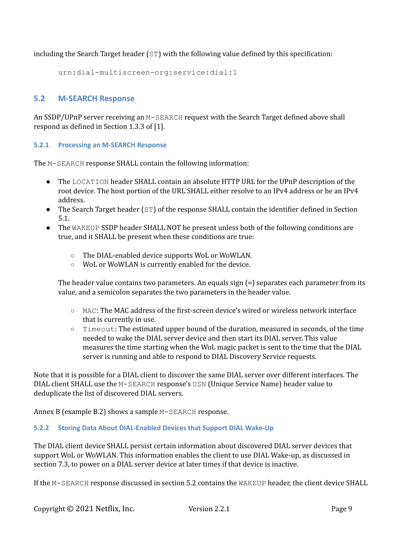including the Search Target header  $(ST)$  with the following value defined by this specification:

```
urn:dial-multiscreen-org:service:dial:1
```
## **5.2 M-SEARCH Response**

An SSDP/UPnP server receiving an M-SEARCH request with the Search Target defined above shall respond as defined in Section 1.3.3 of [1].

### **5.2.1 Processing an M-SEARCH Response**

The M-SEARCH response SHALL contain the following information:

- The LOCATION header SHALL contain an absolute HTTP URL for the UPnP description of the root device. The host portion of the URL SHALL either resolve to an IPv4 address or be an IPv4 address.
- The Search Target header (ST) of the response SHALL contain the identifier defined in Section 5.1.
- The WAKEUP SSDP header SHALL NOT be present unless both of the following conditions are true, and it SHALL be present when these conditions are true:
	- The DIAL-enabled device supports WoL or WoWLAN.
	- WoL or WoWLAN is currently enabled for the device.

The header value contains two parameters. An equals sign (=) separates each parameter from its value, and a semicolon separates the two parameters in the header value.

- MAC: The MAC address of the first-screen device's wired or wireless network interface that is currently in use.
- Timeout: The estimated upper bound of the duration, measured in seconds, of the time needed to wake the DIAL server device and then start its DIAL server. This value measures the time starting when the WoL magic packet is sent to the time that the DIAL server is running and able to respond to DIAL Discovery Service requests.

Note that it is possible for a DIAL client to discover the same DIAL server over different interfaces. The DIAL client SHALL use the M-SEARCH response's USN (Unique Service Name) header value to deduplicate the list of discovered DIAL servers.

Annex B (example B.2) shows a sample M-SEARCH response.

## **5.2.2 Storing Data About DIAL-Enabled Devices that Support DIAL Wake-Up**

The DIAL client device SHALL persist certain information about discovered DIAL server devices that support WoL or WoWLAN. This information enables the client to use DIAL Wake-up, as discussed in section 7.3, to power on a DIAL server device at later times if that device is inactive.

If the M-SEARCH response discussed in section 5.2 contains the WAKEUP header, the client device SHALL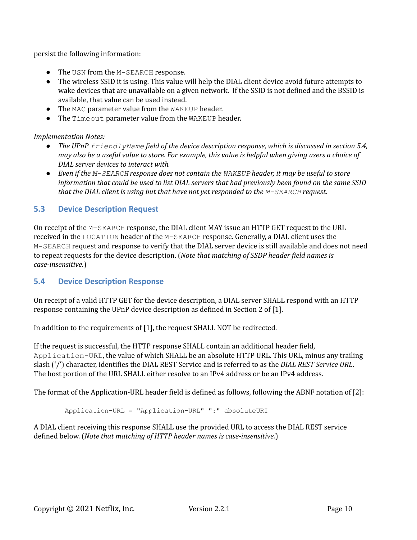persist the following information:

- The USN from the M-SEARCH response.
- The wireless SSID it is using. This value will help the DIAL client device avoid future attempts to wake devices that are unavailable on a given network. If the SSID is not defined and the BSSID is available, that value can be used instead.
- The MAC parameter value from the WAKEUP header.
- The Timeout parameter value from the WAKEUP header.

*Implementation Notes:*

- *The UPnP friendlyName field of the device description response, which is discussed in section 5.4,* may also be a useful value to store. For example, this value is helpful when giving users a choice of *DIAL server devices to interact with.*
- *● Even if the M-SEARCH response does not contain the WAKEUP header, it may be useful to store* information that could be used to list DIAL servers that had previously been found on the same SSID *that the DIAL client is using but that have not yet responded to the M-SEARCH request.*

## **5.3 Device Description Request**

On receipt of the M-SEARCH response, the DIAL client MAY issue an HTTP GET request to the URL received in the LOCATION header of the M-SEARCH response. Generally, a DIAL client uses the M-SEARCH request and response to verify that the DIAL server device is still available and does not need to repeat requests for the device description. (*Note that matching of SSDP header field names is case-insensitive.*)

## **5.4 Device Description Response**

On receipt of a valid HTTP GET for the device description, a DIAL server SHALL respond with an HTTP response containing the UPnP device description as defined in Section 2 of [1].

In addition to the requirements of [1], the request SHALL NOT be redirected.

If the request is successful, the HTTP response SHALL contain an additional header field, Application-URL, the value of which SHALL be an absolute HTTP URL. This URL, minus any trailing slash ('/') character, identifies the DIAL REST Service and is referred to as the *DIAL REST Service URL*. The host portion of the URL SHALL either resolve to an IPv4 address or be an IPv4 address.

The format of the Application-URL header field is defined as follows, following the ABNF notation of [2]:

Application-URL = "Application-URL" ":" absoluteURI

A DIAL client receiving this response SHALL use the provided URL to access the DIAL REST service defined below. (*Note that matching of HTTP header names is case-insensitive.*)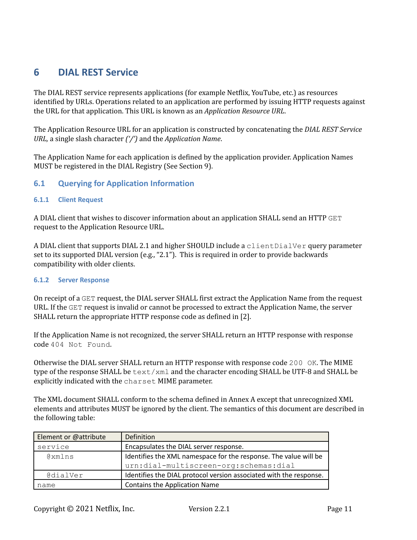# **6 DIAL REST Service**

The DIAL REST service represents applications (for example Netflix, YouTube, etc.) as resources identified by URLs. Operations related to an application are performed by issuing HTTP requests against the URL for that application. This URL is known as an *Application Resource URL*.

The Application Resource URL for an application is constructed by concatenating the *DIAL REST Service URL,* a single slash character *('/')* and the *Application Name*.

The Application Name for each application is defined by the application provider. Application Names MUST be registered in the DIAL Registry (See Section 9).

## **6.1 Querying for Application Information**

### **6.1.1 Client Request**

A DIAL client that wishes to discover information about an application SHALL send an HTTP GET request to the Application Resource URL.

A DIAL client that supports DIAL 2.1 and higher SHOULD include a client DialVer query parameter set to its supported DIAL version (e.g., "2.1"). This is required in order to provide backwards compatibility with older clients.

### **6.1.2 Server Response**

On receipt of a GET request, the DIAL server SHALL first extract the Application Name from the request URL. If the GET request is invalid or cannot be processed to extract the Application Name, the server SHALL return the appropriate HTTP response code as defined in [2].

If the Application Name is not recognized, the server SHALL return an HTTP response with response code 404 Not Found.

Otherwise the DIAL server SHALL return an HTTP response with response code 200 OK. The MIME type of the response SHALL be  $\text{text}/\text{cm}1$  and the character encoding SHALL be UTF-8 and SHALL be explicitly indicated with the charset MIME parameter.

The XML document SHALL conform to the schema defined in Annex A except that unrecognized XML elements and attributes MUST be ignored by the client. The semantics of this document are described in the following table:

| Element or @attribute | Definition                                                         |  |  |
|-----------------------|--------------------------------------------------------------------|--|--|
| service               | Encapsulates the DIAL server response.                             |  |  |
| @xmlns                | Identifies the XML namespace for the response. The value will be   |  |  |
|                       | urn:dial-multiscreen-org:schemas:dial                              |  |  |
| CdialVer              | Identifies the DIAL protocol version associated with the response. |  |  |
| name                  | Contains the Application Name                                      |  |  |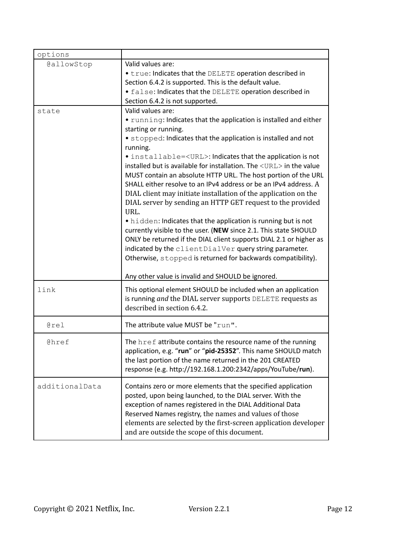| options        |                                                                                           |  |
|----------------|-------------------------------------------------------------------------------------------|--|
| GallowStop     | Valid values are:                                                                         |  |
|                | • true: Indicates that the DELETE operation described in                                  |  |
|                | Section 6.4.2 is supported. This is the default value.                                    |  |
|                | • false: Indicates that the DELETE operation described in                                 |  |
|                | Section 6.4.2 is not supported.                                                           |  |
| state          | Valid values are:                                                                         |  |
|                | • running: Indicates that the application is installed and either<br>starting or running. |  |
|                | • stopped: Indicates that the application is installed and not                            |  |
|                | running.                                                                                  |  |
|                | • installable= <url>: Indicates that the application is not</url>                         |  |
|                | installed but is available for installation. The <url> in the value</url>                 |  |
|                | MUST contain an absolute HTTP URL. The host portion of the URL                            |  |
|                | SHALL either resolve to an IPv4 address or be an IPv4 address. A                          |  |
|                | DIAL client may initiate installation of the application on the                           |  |
|                | DIAL server by sending an HTTP GET request to the provided<br>URL.                        |  |
|                | • hidden: Indicates that the application is running but is not                            |  |
|                | currently visible to the user. (NEW since 2.1. This state SHOULD                          |  |
|                | ONLY be returned if the DIAL client supports DIAL 2.1 or higher as                        |  |
|                | indicated by the clientDialVer query string parameter.                                    |  |
|                | Otherwise, stopped is returned for backwards compatibility).                              |  |
|                |                                                                                           |  |
|                | Any other value is invalid and SHOULD be ignored.                                         |  |
| link           | This optional element SHOULD be included when an application                              |  |
|                | is running and the DIAL server supports DELETE requests as                                |  |
|                | described in section 6.4.2.                                                               |  |
| @rel           | The attribute value MUST be "run".                                                        |  |
|                |                                                                                           |  |
| @href          | The href attribute contains the resource name of the running                              |  |
|                | application, e.g. "run" or "pid-25352". This name SHOULD match                            |  |
|                | the last portion of the name returned in the 201 CREATED                                  |  |
|                | response (e.g. http://192.168.1.200:2342/apps/YouTube/run).                               |  |
|                |                                                                                           |  |
| additionalData | Contains zero or more elements that the specified application                             |  |
|                | posted, upon being launched, to the DIAL server. With the                                 |  |
|                | exception of names registered in the DIAL Additional Data                                 |  |
|                | Reserved Names registry, the names and values of those                                    |  |
|                | elements are selected by the first-screen application developer                           |  |
|                | and are outside the scope of this document.                                               |  |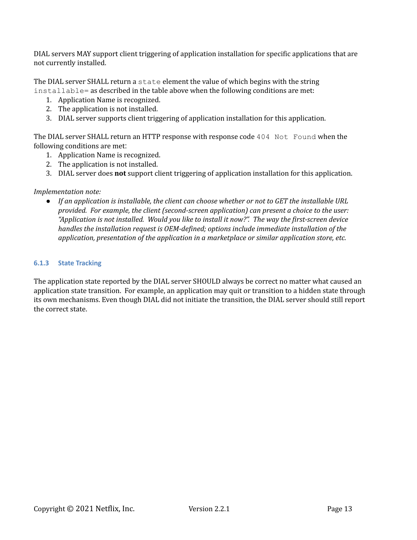DIAL servers MAY support client triggering of application installation for specific applications that are not currently installed.

The DIAL server SHALL return a state element the value of which begins with the string installable= as described in the table above when the following conditions are met:

- 1. Application Name is recognized.
- 2. The application is not installed.
- 3. DIAL server supports client triggering of application installation for this application.

The DIAL server SHALL return an HTTP response with response code 404 Not Found when the following conditions are met:

- 1. Application Name is recognized.
- 2. The application is not installed.
- 3. DIAL server does **not** support client triggering of application installation for this application.

### *Implementation note:*

● *If an application is installable, the client can choose whether or not to GET the installable URL provided. For example, the client (second-screen application) can present a choice to the user: "Application is not installed. Would you like to install it now?". The way the first-screen device handles the installation request is OEM-defined; options include immediate installation of the application, presentation of the application in a marketplace or similar application store, etc.*

### **6.1.3 State Tracking**

The application state reported by the DIAL server SHOULD always be correct no matter what caused an application state transition. For example, an application may quit or transition to a hidden state through its own mechanisms. Even though DIAL did not initiate the transition, the DIAL server should still report the correct state.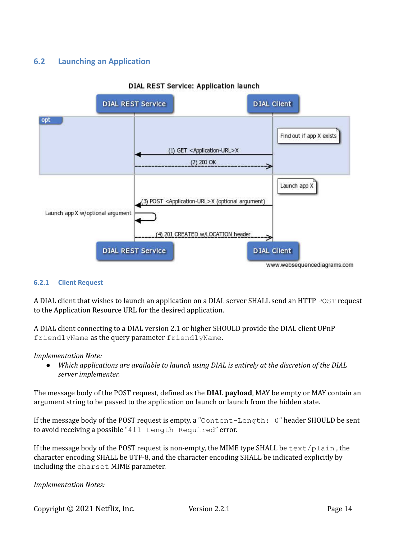## **6.2 Launching an Application**



### DIAL REST Service: Application launch

### **6.2.1 Client Request**

A DIAL client that wishes to launch an application on a DIAL server SHALL send an HTTP POST request to the Application Resource URL for the desired application.

A DIAL client connecting to a DIAL version 2.1 or higher SHOULD provide the DIAL client UPnP friendlyName as the query parameter friendlyName.

### *Implementation Note:*

● *Which applications are available to launch using DIAL is entirely at the discretion of the DIAL server implementer.*

The message body of the POST request, defined as the **DIAL payload**, MAY be empty or MAY contain an argument string to be passed to the application on launch or launch from the hidden state.

If the message body of the POST request is empty, a "Content-Length: 0" header SHOULD be sent to avoid receiving a possible "411 Length Required" error.

If the message body of the POST request is non-empty, the MIME type SHALL be  $text/p$ lain, the character encoding SHALL be UTF-8, and the character encoding SHALL be indicated explicitly by including the charset MIME parameter.

*Implementation Notes:*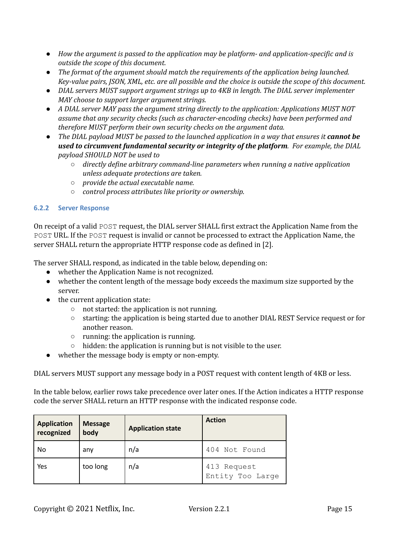- *How the argument is passed to the application may be platform- and application-specific and is outside the scope of this document.*
- *The format of the argument should match the requirements of the application being launched.* Key-value pairs, JSON, XML, etc. are all possible and the choice is outside the scope of this document.
- *DIAL servers MUST support argument strings up to 4KB in length. The DIAL server implementer MAY choose to support larger argument strings.*
- *A DIAL server MAY pass the argument string directly to the application: Applications MUST NOT assume that any security checks (such as character-encoding checks) have been performed and therefore MUST perform their own security checks on the argument data.*
- *The DIAL payload MUST be passed to the launched application in a way that ensures it cannot be used to circumvent fundamental security or integrity of the platform. For example, the DIAL payload SHOULD NOT be used to*
	- *directly define arbitrary command-line parameters when running a native application unless adequate protections are taken.*
	- *○ provide the actual executable name.*
	- *○ control process attributes like priority or ownership.*

## **6.2.2 Server Response**

On receipt of a valid POST request, the DIAL server SHALL first extract the Application Name from the POST URL. If the POST request is invalid or cannot be processed to extract the Application Name, the server SHALL return the appropriate HTTP response code as defined in [2].

The server SHALL respond, as indicated in the table below, depending on:

- whether the Application Name is not recognized.
- whether the content length of the message body exceeds the maximum size supported by the server.
- the current application state:
	- not started: the application is not running.
	- starting: the application is being started due to another DIAL REST Service request or for another reason.
	- running: the application is running.
	- $\circ$  hidden: the application is running but is not visible to the user.
- whether the message body is empty or non-empty.

DIAL servers MUST support any message body in a POST request with content length of 4KB or less.

In the table below, earlier rows take precedence over later ones. If the Action indicates a HTTP response code the server SHALL return an HTTP response with the indicated response code.

| <b>Application</b><br>recognized | <b>Message</b><br>body | <b>Application state</b> | <b>Action</b>                   |
|----------------------------------|------------------------|--------------------------|---------------------------------|
| No                               | any                    | n/a                      | 404 Not Found                   |
| Yes                              | too long               | n/a                      | 413 Request<br>Entity Too Large |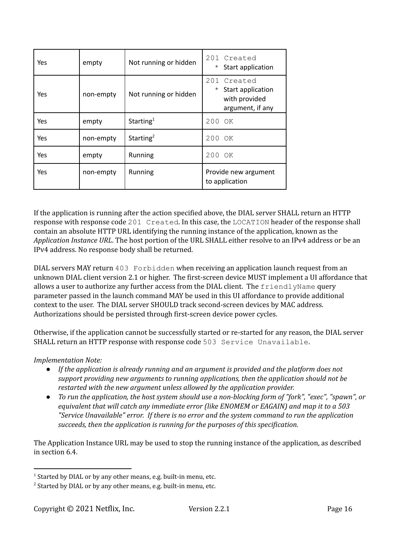| Yes | empty     | Not running or hidden | 201 Created<br>Start application<br>$^\star$                                        |
|-----|-----------|-----------------------|-------------------------------------------------------------------------------------|
| Yes | non-empty | Not running or hidden | 201<br>Created<br>Start application<br>$\star$<br>with provided<br>argument, if any |
| Yes | empty     | Starting <sup>1</sup> | 200<br>OK                                                                           |
| Yes | non-empty | Starting <sup>2</sup> | 200 OK                                                                              |
| Yes | empty     | Running               | 200 OK                                                                              |
| Yes | non-empty | Running               | Provide new argument<br>to application                                              |

If the application is running after the action specified above, the DIAL server SHALL return an HTTP response with response code 201 Created. In this case, the LOCATION header of the response shall contain an absolute HTTP URL identifying the running instance of the application, known as the *Application Instance URL*. The host portion of the URL SHALL either resolve to an IPv4 address or be an IPv4 address. No response body shall be returned.

DIAL servers MAY return 403 Forbidden when receiving an application launch request from an unknown DIAL client version 2.1 or higher. The first-screen device MUST implement a UI affordance that allows a user to authorize any further access from the DIAL client. The friendlyName query parameter passed in the launch command MAY be used in this UI affordance to provide additional context to the user. The DIAL server SHOULD track second-screen devices by MAC address. Authorizations should be persisted through first-screen device power cycles.

Otherwise, if the application cannot be successfully started or re-started for any reason, the DIAL server SHALL return an HTTP response with response code 503 Service Unavailable.

## *Implementation Note:*

- *If the application is already running and an argument is provided and the platform does not support providing new arguments to running applications, then the application should not be restarted with the new argument unless allowed by the application provider.*
- *To run the application, the host system should use a non-blocking form of "fork", "exec", "spawn", or equivalent that will catch any immediate error (like ENOMEM or EAGAIN) and map it to a 503 "Service Unavailable" error. If there is no error and the system command to run the application succeeds, then the application is running for the purposes of this specification.*

The Application Instance URL may be used to stop the running instance of the application, as described in section 6.4.

 $1$  Started by DIAL or by any other means, e.g. built-in menu, etc.

 $2$  Started by DIAL or by any other means, e.g. built-in menu, etc.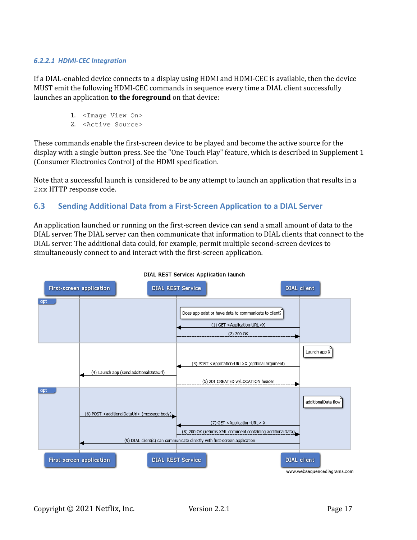### *6.2.2.1 HDMI-CEC Integration*

If a DIAL-enabled device connects to a display using HDMI and HDMI-CEC is available, then the device MUST emit the following HDMI-CEC commands in sequence every time a DIAL client successfully launches an application **to the foreground** on that device:

- 1. <Image View On>
- 2. <Active Source>

These commands enable the first-screen device to be played and become the active source for the display with a single button press. See the "One Touch Play" feature, which is described in Supplement 1 (Consumer Electronics Control) of the HDMI specification.

Note that a successful launch is considered to be any attempt to launch an application that results in a 2xx HTTP response code.

## **6.3 Sending Additional Data from a First-Screen Application to a DIAL Server**

An application launched or running on the first-screen device can send a small amount of data to the DIAL server. The DIAL server can then communicate that information to DIAL clients that connect to the DIAL server. The additional data could, for example, permit multiple second-screen devices to simultaneously connect to and interact with the first-screen application.



#### DIAL REST Service: Application launch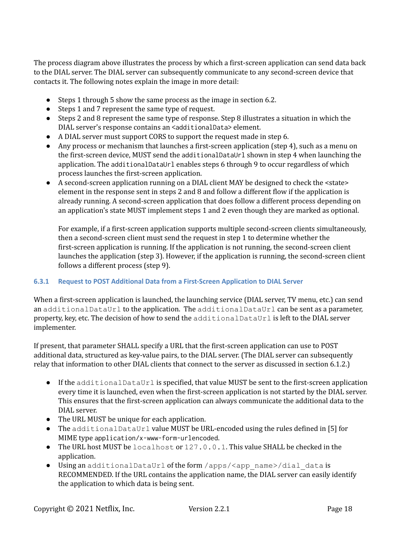The process diagram above illustrates the process by which a first-screen application can send data back to the DIAL server. The DIAL server can subsequently communicate to any second-screen device that contacts it. The following notes explain the image in more detail:

- Steps 1 through 5 show the same process as the image in section 6.2.
- Steps 1 and 7 represent the same type of request.
- Steps 2 and 8 represent the same type of response. Step 8 illustrates a situation in which the DIAL server's response contains an <additionalData> element.
- A DIAL server must support CORS to support the request made in step 6.
- Any process or mechanism that launches a first-screen application (step 4), such as a menu on the first-screen device, MUST send the additionalDataUrl shown in step 4 when launching the application. The additionalDataUrl enables steps 6 through 9 to occur regardless of which process launches the first-screen application.
- A second-screen application running on a DIAL client MAY be designed to check the  $\leq$ state> element in the response sent in steps 2 and 8 and follow a different flow if the application is already running. A second-screen application that does follow a different process depending on an application's state MUST implement steps 1 and 2 even though they are marked as optional.

For example, if a first-screen application supports multiple second-screen clients simultaneously, then a second-screen client must send the request in step 1 to determine whether the first-screen application is running. If the application is not running, the second-screen client launches the application (step 3). However, if the application is running, the second-screen client follows a different process (step 9).

## **6.3.1 Request to POST Additional Data from a First-Screen Application to DIAL Server**

When a first-screen application is launched, the launching service (DIAL server, TV menu, etc.) can send an additionalDataUrl to the application. The additionalDataUrl can be sent as a parameter, property, key, etc. The decision of how to send the additionalDataUrl is left to the DIAL server implementer.

If present, that parameter SHALL specify a URL that the first-screen application can use to POST additional data, structured as key-value pairs, to the DIAL server. (The DIAL server can subsequently relay that information to other DIAL clients that connect to the server as discussed in section 6.1.2.)

- If the additionalDataUrl is specified, that value MUST be sent to the first-screen application every time it is launched, even when the first-screen application is not started by the DIAL server. This ensures that the first-screen application can always communicate the additional data to the DIAL server.
- The URL MUST be unique for each application.
- The additionalDataUrl value MUST be URL-encoded using the rules defined in [5] for MIME type application/x-www-form-urlencoded.
- The URL host MUST be localhost or 127.0.0.1. This value SHALL be checked in the application.
- Using an additionalDataUrl of the form /apps/<app\_name>/dial\_data is RECOMMENDED. If the URL contains the application name, the DIAL server can easily identify the application to which data is being sent.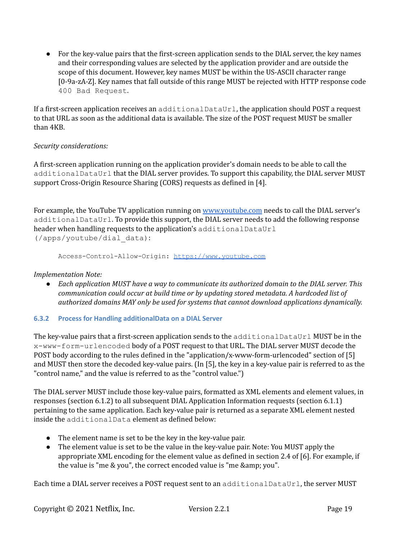• For the key-value pairs that the first-screen application sends to the DIAL server, the key names and their corresponding values are selected by the application provider and are outside the scope of this document. However, key names MUST be within the US-ASCII character range [0-9a-zA-Z]. Key names that fall outside of this range MUST be rejected with HTTP response code 400 Bad Request.

If a first-screen application receives an additionalDataUrl, the application should POST a request to that URL as soon as the additional data is available. The size of the POST request MUST be smaller than 4KB.

## *Security considerations:*

A first-screen application running on the application provider's domain needs to be able to call the additionalDataUrl that the DIAL server provides. To support this capability, the DIAL server MUST support Cross-Origin Resource Sharing (CORS) requests as defined in [4].

For example, the YouTube TV application running on [www.youtube.com](http://www.youtube.com) needs to call the DIAL server's additionalDataUrl. To provide this support, the DIAL server needs to add the following response header when handling requests to the application's additionalDataUrl (/apps/youtube/dial\_data):

Access-Control-Allow-Origin: <https://www.youtube.com>

## *Implementation Note:*

● *Each application MUST have a way to communicate its authorized domain to the DIAL server. This communication could occur at build time or by updating stored metadata. A hardcoded list of authorized domains MAY only be used for systems that cannot download applications dynamically.*

## **6.3.2 Process for Handling additionalData on a DIAL Server**

The key-value pairs that a first-screen application sends to the additionalDataUrl MUST be in the x-www-form-urlencoded body of a POST request to that URL. The DIAL server MUST decode the POST body according to the rules defined in the "application/x-www-form-urlencoded" section of [5] and MUST then store the decoded key-value pairs. (In [5], the key in a key-value pair is referred to as the "control name," and the value is referred to as the "control value.")

The DIAL server MUST include those key-value pairs, formatted as XML elements and element values, in responses (section 6.1.2) to all subsequent DIAL Application Information requests (section 6.1.1) pertaining to the same application. Each key-value pair is returned as a separate XML element nested inside the additionalData element as defined below:

- The element name is set to be the key in the key-value pair.
- The element value is set to be the value in the key-value pair. Note: You MUST apply the appropriate XML encoding for the element value as defined in section 2.4 of [6]. For example, if the value is "me & you", the correct encoded value is "me & amp; you".

Each time a DIAL server receives a POST request sent to an additionalDataUrl, the server MUST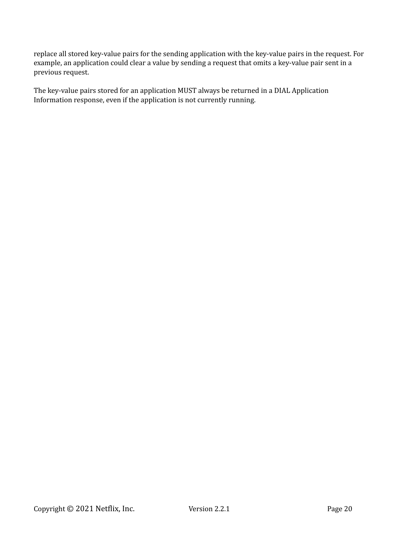replace all stored key-value pairs for the sending application with the key-value pairs in the request. For example, an application could clear a value by sending a request that omits a key-value pair sent in a previous request.

The key-value pairs stored for an application MUST always be returned in a DIAL Application Information response, even if the application is not currently running.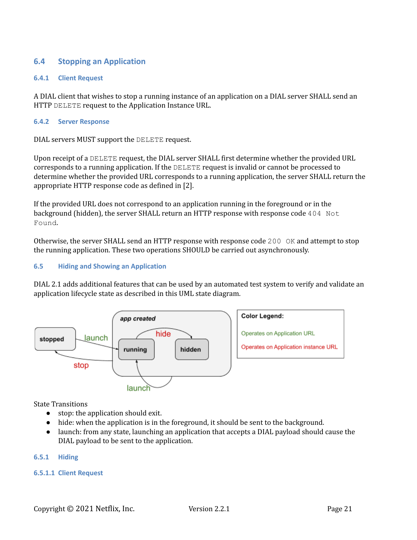## **6.4 Stopping an Application**

### **6.4.1 Client Request**

A DIAL client that wishes to stop a running instance of an application on a DIAL server SHALL send an HTTP DELETE request to the Application Instance URL.

#### **6.4.2 Server Response**

DIAL servers MUST support the DELETE request.

Upon receipt of a DELETE request, the DIAL server SHALL first determine whether the provided URL corresponds to a running application. If the DELETE request is invalid or cannot be processed to determine whether the provided URL corresponds to a running application, the server SHALL return the appropriate HTTP response code as defined in [2].

If the provided URL does not correspond to an application running in the foreground or in the background (hidden), the server SHALL return an HTTP response with response code 404 Not Found.

Otherwise, the server SHALL send an HTTP response with response code 200 OK and attempt to stop the running application. These two operations SHOULD be carried out asynchronously.

### **6.5 Hiding and Showing an Application**

DIAL 2.1 adds additional features that can be used by an automated test system to verify and validate an application lifecycle state as described in this UML state diagram.



State Transitions

- stop: the application should exit.
- hide: when the application is in the foreground, it should be sent to the background.
- launch: from any state, launching an application that accepts a DIAL payload should cause the DIAL payload to be sent to the application.

### **6.5.1 Hiding**

### **6.5.1.1 Client Request**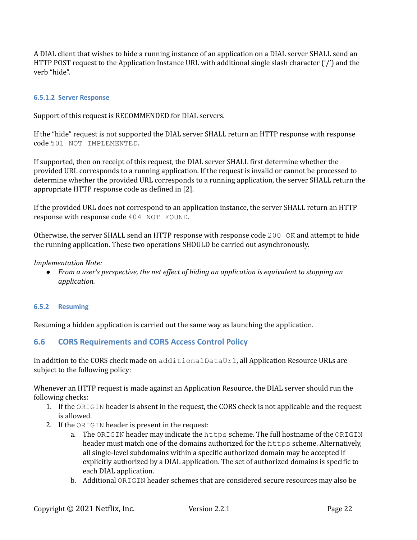A DIAL client that wishes to hide a running instance of an application on a DIAL server SHALL send an HTTP POST request to the Application Instance URL with additional single slash character ('/') and the verb "hide".

### **6.5.1.2 Server Response**

Support of this request is RECOMMENDED for DIAL servers.

If the "hide" request is not supported the DIAL server SHALL return an HTTP response with response code 501 NOT IMPLEMENTED.

If supported, then on receipt of this request, the DIAL server SHALL first determine whether the provided URL corresponds to a running application. If the request is invalid or cannot be processed to determine whether the provided URL corresponds to a running application, the server SHALL return the appropriate HTTP response code as defined in [2].

If the provided URL does not correspond to an application instance, the server SHALL return an HTTP response with response code 404 NOT FOUND.

Otherwise, the server SHALL send an HTTP response with response code 200  $\circ$ K and attempt to hide the running application. These two operations SHOULD be carried out asynchronously.

### *Implementation Note:*

*● From a user's perspective, the net ef ect of hiding an application is equivalent to stopping an application.*

### **6.5.2 Resuming**

Resuming a hidden application is carried out the same way as launching the application.

## **6.6 CORS Requirements and CORS Access Control Policy**

In addition to the CORS check made on additionalDataUrl, all Application Resource URLs are subject to the following policy:

Whenever an HTTP request is made against an Application Resource, the DIAL server should run the following checks:

- 1. If the ORIGIN header is absent in the request, the CORS check is not applicable and the request is allowed.
- 2. If the ORIGIN header is present in the request:
	- a. The ORIGIN header may indicate the https scheme. The full hostname of the ORIGIN header must match one of the domains authorized for the https scheme. Alternatively, all single-level subdomains within a specific authorized domain may be accepted if explicitly authorized by a DIAL application. The set of authorized domains is specific to each DIAL application.
	- b. Additional ORIGIN header schemes that are considered secure resources may also be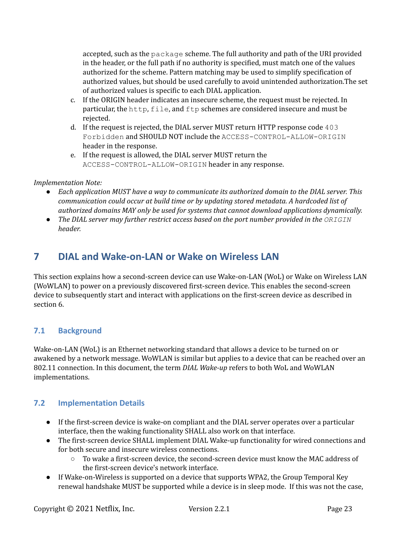accepted, such as the package scheme. The full authority and path of the URI provided in the header, or the full path if no authority is specified, must match one of the values authorized for the scheme. Pattern matching may be used to simplify specification of authorized values, but should be used carefully to avoid unintended authorization.The set of authorized values is specific to each DIAL application.

- c. If the ORIGIN header indicates an insecure scheme, the request must be rejected. In particular, the http, file, and ftp schemes are considered insecure and must be rejected.
- d. If the request is rejected, the DIAL server MUST return HTTP response code 403 Forbidden and SHOULD NOT include the ACCESS-CONTROL-ALLOW-ORIGIN header in the response.
- e. If the request is allowed, the DIAL server MUST return the ACCESS-CONTROL-ALLOW-ORIGIN header in any response.

## *Implementation Note:*

- *● Each application MUST have a way to communicate its authorized domain to the DIAL server. This communication could occur at build time or by updating stored metadata. A hardcoded list of authorized domains MAY only be used for systems that cannot download applications dynamically.*
- *● The DIAL server may further restrict access based on the port number provided in the ORIGIN header.*

# **7 DIAL and Wake-on-LAN or Wake on Wireless LAN**

This section explains how a second-screen device can use Wake-on-LAN (WoL) or Wake on Wireless LAN (WoWLAN) to power on a previously discovered first-screen device. This enables the second-screen device to subsequently start and interact with applications on the first-screen device as described in section 6.

# **7.1 Background**

Wake-on-LAN (WoL) is an Ethernet networking standard that allows a device to be turned on or awakened by a network message. WoWLAN is similar but applies to a device that can be reached over an 802.11 connection. In this document, the term *DIAL Wake-up* refers to both WoL and WoWLAN implementations.

## **7.2 Implementation Details**

- If the first-screen device is wake-on compliant and the DIAL server operates over a particular interface, then the waking functionality SHALL also work on that interface.
- The first-screen device SHALL implement DIAL Wake-up functionality for wired connections and for both secure and insecure wireless connections.
	- $\circ$  To wake a first-screen device, the second-screen device must know the MAC address of the first-screen device's network interface.
- If Wake-on-Wireless is supported on a device that supports WPA2, the Group Temporal Key renewal handshake MUST be supported while a device is in sleep mode. If this was not the case,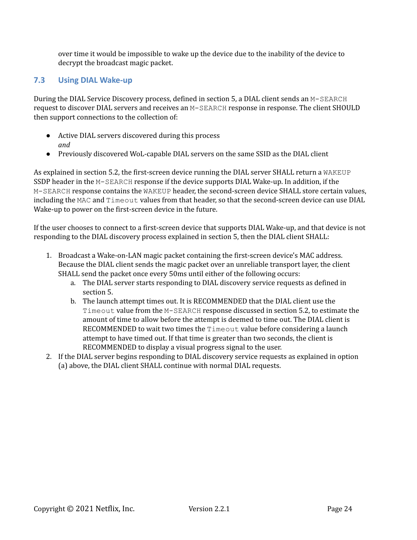over time it would be impossible to wake up the device due to the inability of the device to decrypt the broadcast magic packet.

# **7.3 Using DIAL Wake-up**

During the DIAL Service Discovery process, defined in section 5, a DIAL client sends an M-SEARCH request to discover DIAL servers and receives an M-SEARCH response in response. The client SHOULD then support connections to the collection of:

- Active DIAL servers discovered during this process *and*
- Previously discovered WoL-capable DIAL servers on the same SSID as the DIAL client

As explained in section 5.2, the first-screen device running the DIAL server SHALL return a WAKEUP SSDP header in the M-SEARCH response if the device supports DIAL Wake-up. In addition, if the M-SEARCH response contains the WAKEUP header, the second-screen device SHALL store certain values, including the MAC and Timeout values from that header, so that the second-screen device can use DIAL Wake-up to power on the first-screen device in the future.

If the user chooses to connect to a first-screen device that supports DIAL Wake-up, and that device is not responding to the DIAL discovery process explained in section 5, then the DIAL client SHALL:

- 1. Broadcast a Wake-on-LAN magic packet containing the first-screen device's MAC address. Because the DIAL client sends the magic packet over an unreliable transport layer, the client SHALL send the packet once every 50ms until either of the following occurs:
	- a. The DIAL server starts responding to DIAL discovery service requests as defined in section 5.
	- b. The launch attempt times out. It is RECOMMENDED that the DIAL client use the Timeout value from the M-SEARCH response discussed in section 5.2, to estimate the amount of time to allow before the attempt is deemed to time out. The DIAL client is RECOMMENDED to wait two times the Timeout value before considering a launch attempt to have timed out. If that time is greater than two seconds, the client is RECOMMENDED to display a visual progress signal to the user.
- 2. If the DIAL server begins responding to DIAL discovery service requests as explained in option (a) above, the DIAL client SHALL continue with normal DIAL requests.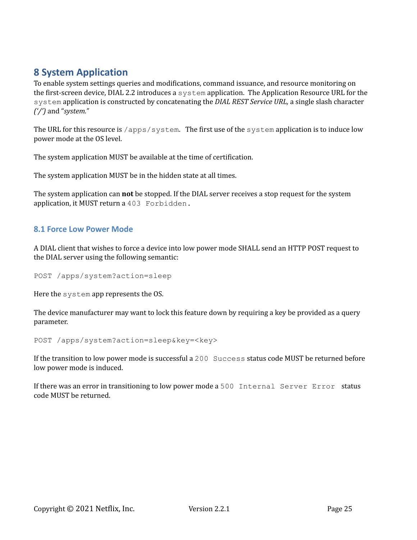# **8 System Application**

To enable system settings queries and modifications, command issuance, and resource monitoring on the first-screen device, DIAL 2.2 introduces a system application. The Application Resource URL for the system application is constructed by concatenating the *DIAL REST Service URL,* a single slash character *('/')* and "*system."*

The URL for this resource is  $/$ apps $/$ system. The first use of the system application is to induce low power mode at the OS level.

The system application MUST be available at the time of certification.

The system application MUST be in the hidden state at all times.

The system application can **not** be stopped. If the DIAL server receives a stop request for the system application, it MUST return a 403 Forbidden.

## **8.1 Force Low Power Mode**

A DIAL client that wishes to force a device into low power mode SHALL send an HTTP POST request to the DIAL server using the following semantic:

POST /apps/system?action=sleep

Here the system app represents the OS.

The device manufacturer may want to lock this feature down by requiring a key be provided as a query parameter.

POST /apps/system?action=sleep&key=<key>

If the transition to low power mode is successful a 200 Success status code MUST be returned before low power mode is induced.

If there was an error in transitioning to low power mode a 500 Internal Server Error status code MUST be returned.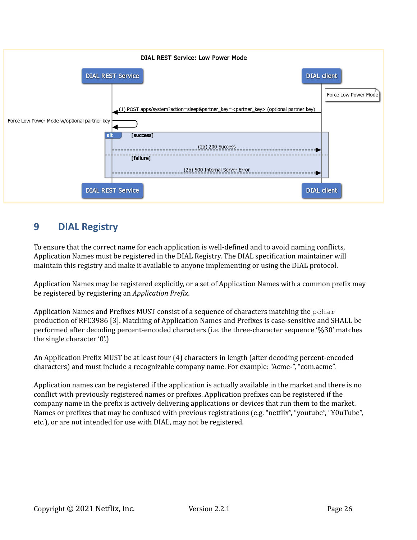

# **9 DIAL Registry**

To ensure that the correct name for each application is well-defined and to avoid naming conflicts, Application Names must be registered in the DIAL Registry. The DIAL specification maintainer will maintain this registry and make it available to anyone implementing or using the DIAL protocol.

Application Names may be registered explicitly, or a set of Application Names with a common prefix may be registered by registering an *Application Prefix*.

Application Names and Prefixes MUST consist of a sequence of characters matching the  $pchar$ production of RFC3986 [3]. Matching of Application Names and Prefixes is case-sensitive and SHALL be performed after decoding percent-encoded characters (i.e. the three-character sequence '%30' matches the single character '0'.)

An Application Prefix MUST be at least four (4) characters in length (after decoding percent-encoded characters) and must include a recognizable company name. For example: "Acme-", "com.acme".

Application names can be registered if the application is actually available in the market and there is no conflict with previously registered names or prefixes. Application prefixes can be registered if the company name in the prefix is actively delivering applications or devices that run them to the market. Names or prefixes that may be confused with previous registrations (e.g. "netflix", "youtube", "Y0uTube", etc.), or are not intended for use with DIAL, may not be registered.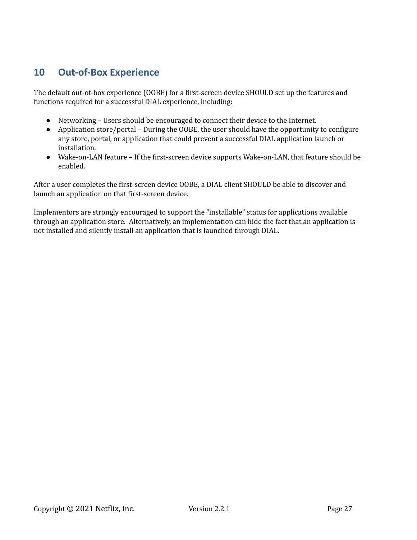# **10 Out-of-Box Experience**

The default out-of-box experience (OOBE) for a first-screen device SHOULD set up the features and functions required for a successful DIAL experience, including:

- Networking Users should be encouraged to connect their device to the Internet.
- Application store/portal During the OOBE, the user should have the opportunity to configure any store, portal, or application that could prevent a successful DIAL application launch or installation.
- Wake-on-LAN feature If the first-screen device supports Wake-on-LAN, that feature should be enabled.

After a user completes the first-screen device OOBE, a DIAL client SHOULD be able to discover and launch an application on that first-screen device.

Implementors are strongly encouraged to support the "installable" status for applications available through an application store. Alternatively, an implementation can hide the fact that an application is not installed and silently install an application that is launched through DIAL.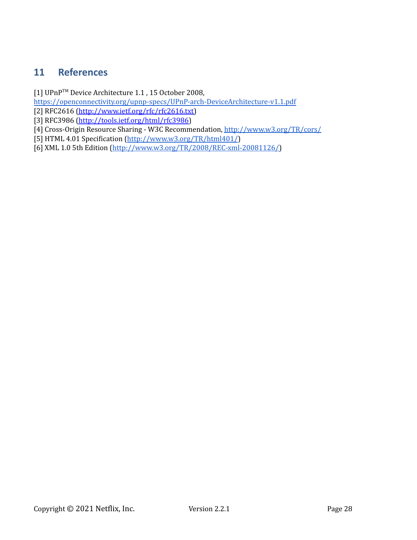# **11 References**

[1] UPnP™ Device Architecture 1.1, 15 October 2008,

<https://openconnectivity.org/upnp-specs/UPnP-arch-DeviceArchitecture-v1.1.pdf>

- [2] RFC2616 [\(http://www.ietf.org/rfc/rfc2616.txt\)](http://www.ietf.org/rfc/rfc2616.txt)
- [3] RFC3986 [\(http://tools.ietf.org/html/rfc3986](http://tools.ietf.org/html/rfc3986))
- [4] Cross-Origin Resource Sharing W3C Recommendation, <http://www.w3.org/TR/cors/>
- [5] HTML 4.01 Specification (<http://www.w3.org/TR/html401/>)
- [6] XML 1.0 5th Edition [\(http://www.w3.org/TR/2008/REC-xml-20081126/\)](http://www.w3.org/TR/2008/REC-xml-20081126/)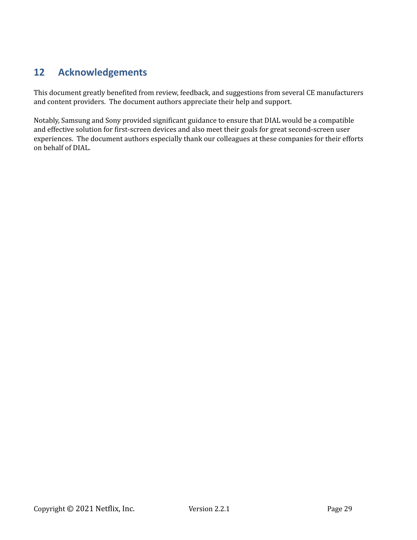# **12 Acknowledgements**

This document greatly benefited from review, feedback, and suggestions from several CE manufacturers and content providers. The document authors appreciate their help and support.

Notably, Samsung and Sony provided significant guidance to ensure that DIAL would be a compatible and effective solution for first-screen devices and also meet their goals for great second-screen user experiences. The document authors especially thank our colleagues at these companies for their efforts on behalf of DIAL.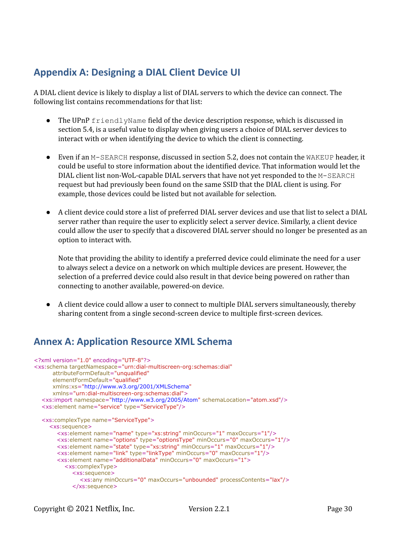# **Appendix A: Designing a DIAL Client Device UI**

A DIAL client device is likely to display a list of DIAL servers to which the device can connect. The following list contains recommendations for that list:

- The UPnP friendlyName field of the device description response, which is discussed in section 5.4, is a useful value to display when giving users a choice of DIAL server devices to interact with or when identifying the device to which the client is connecting.
- Even if an M-SEARCH response, discussed in section 5.2, does not contain the WAKEUP header, it could be useful to store information about the identified device. That information would let the DIAL client list non-WoL-capable DIAL servers that have not yet responded to the M-SEARCH request but had previously been found on the same SSID that the DIAL client is using. For example, those devices could be listed but not available for selection.
- *●* A client device could store a list of preferred DIAL server devices and use that list to select a DIAL server rather than require the user to explicitly select a server device. Similarly, a client device could allow the user to specify that a discovered DIAL server should no longer be presented as an option to interact with.

Note that providing the ability to identify a preferred device could eliminate the need for a user to always select a device on a network on which multiple devices are present. However, the selection of a preferred device could also result in that device being powered on rather than connecting to another available, powered-on device.

● A client device could allow a user to connect to multiple DIAL servers simultaneously, thereby sharing content from a single second-screen device to multiple first-screen devices.

# **Annex A: Application Resource XML Schema**

```
<?xml version="1.0" encoding="UTF-8"?>
<xs:schema targetNamespace="urn:dial-multiscreen-org:schemas:dial"
     attributeFormDefault="unqualified"
     elementFormDefault="qualified"
     xmlns:xs="http://www.w3.org/2001/XMLSchema"
     xmlns="urn:dial-multiscreen-org:schemas:dial">
  <xs:import namespace="http://www.w3.org/2005/Atom" schemaLocation="atom.xsd"/>
  <xs:element name="service" type="ServiceType"/>
  <xs:complexType name="ServiceType">
    <xs:sequence>
       <xs:element name="name" type="xs:string" minOccurs="1" maxOccurs="1"/>
       <xs:element name="options" type="optionsType" minOccurs="0" maxOccurs="1"/>
       <xs:element name="state" type="xs:string" minOccurs="1" maxOccurs="1"/>
       <xs:element name="link" type="linkType" minOccurs="0" maxOccurs="1"/>
       <xs:element name="additionalData" minOccurs="0" maxOccurs="1">
         <xs:complexType>
            <xs:sequence>
              <xs:any minOccurs="0" maxOccurs="unbounded" processContents="lax"/>
            </xs:sequence>
```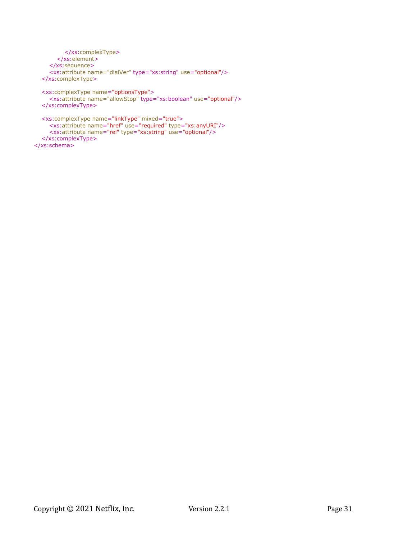```
</xs:complexType>
     </xs:element>
  </xs:sequence>
  <xs:attribute name="dialVer" type="xs:string" use="optional"/>
</xs:complexType>
<xs:complexType name="optionsType">
```

```
<xs:attribute name="allowStop" type="xs:boolean" use="optional"/>
</xs:complexType>
```

```
<xs:complexType name="linkType" mixed="true">
    <xs:attribute name="href" use="required" type="xs:anyURI"/>
    <xs:attribute name="rel" type="xs:string" use="optional"/>
  </xs:complexType>
</xs:schema>
```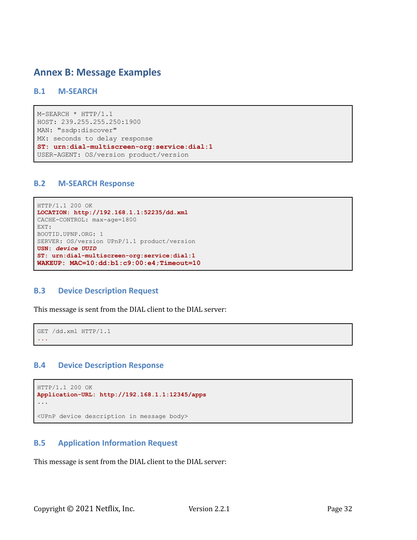# **Annex B: Message Examples**

## **B.1 M-SEARCH**

```
M-SEARCH * HTTP/1.1
HOST: 239.255.255.250:1900
MAN: "ssdp:discover"
MX: seconds to delay response
ST: urn:dial-multiscreen-org:service:dial:1
USER-AGENT: OS/version product/version
```
### **B.2 M-SEARCH Response**

```
HTTP/1.1 200 OK
LOCATION: http://192.168.1.1:52235/dd.xml
CACHE-CONTROL: max-age=1800
EXT:
BOOTID.UPNP.ORG: 1
SERVER: OS/version UPnP/1.1 product/version
USN: device UUID
ST: urn:dial-multiscreen-org:service:dial:1
WAKEUP: MAC=10:dd:b1:c9:00:e4;Timeout=10
```
## **B.3 Device Description Request**

This message is sent from the DIAL client to the DIAL server:

```
GET /dd.xml HTTP/1.1
...
```
## **B.4 Device Description Response**

```
HTTP/1.1 200 OK
Application-URL: http://192.168.1.1:12345/apps
...
<UPnP device description in message body>
```
## **B.5 Application Information Request**

This message is sent from the DIAL client to the DIAL server: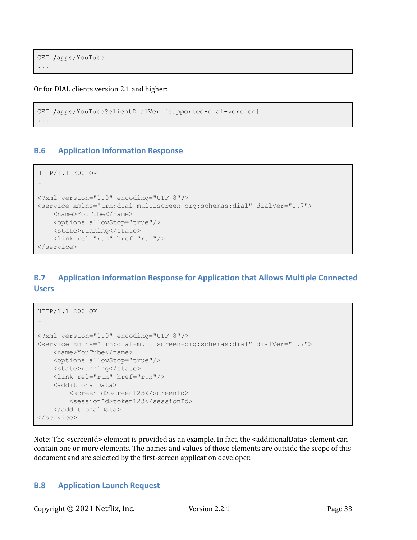```
GET /apps/YouTube
...
```
Or for DIAL clients version 2.1 and higher:

```
GET /apps/YouTube?clientDialVer=[supported-dial-version]
...
```
## **B.6 Application Information Response**

```
HTTP/1.1 200 OK
…
<?xml version="1.0" encoding="UTF-8"?>
<service xmlns="urn:dial-multiscreen-org:schemas:dial" dialVer="1.7">
   <name>YouTube</name>
   <options allowStop="true"/>
   <state>running</state>
    <link rel="run" href="run"/>
</service>
```
# **B.7 Application Information Response for Application that Allows Multiple Connected Users**

```
HTTP/1.1 200 OK
…
<?xml version="1.0" encoding="UTF-8"?>
<service xmlns="urn:dial-multiscreen-org:schemas:dial" dialVer="1.7">
   <name>YouTube</name>
   <options allowStop="true"/>
   <state>running</state>
   <link rel="run" href="run"/>
    <additionalData>
       <screenId>screen123</screenId>
       <sessionId>token123</sessionId>
    </additionalData>
</service>
```
Note: The <screenId> element is provided as an example. In fact, the <additionalData> element can contain one or more elements. The names and values of those elements are outside the scope of this document and are selected by the first-screen application developer.

## **B.8 Application Launch Request**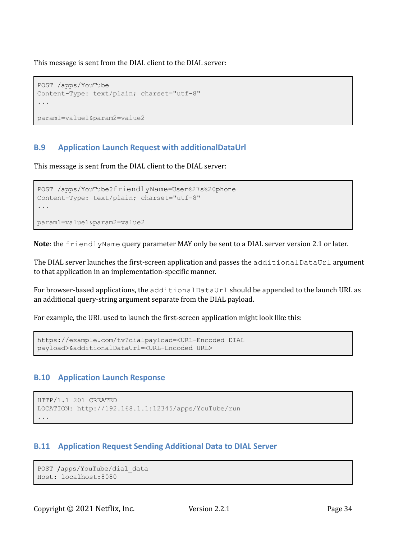This message is sent from the DIAL client to the DIAL server:

```
POST /apps/YouTube
Content-Type: text/plain; charset="utf-8"
...
param1=value1&param2=value2
```
# **B.9 Application Launch Request with additionalDataUrl**

This message is sent from the DIAL client to the DIAL server:

```
POST /apps/YouTube?friendlyName=User%27s%20phone
Content-Type: text/plain; charset="utf-8"
...
param1=value1&param2=value2
```
**Note**: the friendlyName query parameter MAY only be sent to a DIAL server version 2.1 or later.

The DIAL server launches the first-screen application and passes the additionalDataUrl argument to that application in an implementation-specific manner.

For browser-based applications, the additionalDataUrl should be appended to the launch URL as an additional query-string argument separate from the DIAL payload.

For example, the URL used to launch the first-screen application might look like this:

```
https://example.com/tv?dialpayload=<URL-Encoded DIAL
payload>&additionalDataUrl=<URL-Encoded URL>
```
## **B.10 Application Launch Response**

```
HTTP/1.1 201 CREATED
LOCATION: http://192.168.1.1:12345/apps/YouTube/run
...
```
## **B.11 Application Request Sending Additional Data to DIAL Server**

```
POST /apps/YouTube/dial_data
Host: localhost:8080
```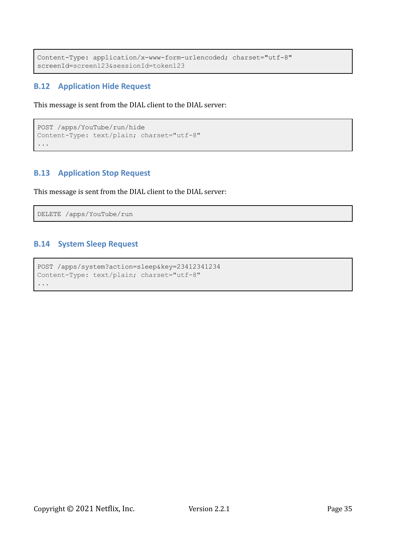```
Content-Type: application/x-www-form-urlencoded; charset="utf-8"
screenId=screen123&sessionId=token123
```
# **B.12 Application Hide Request**

This message is sent from the DIAL client to the DIAL server:

```
POST /apps/YouTube/run/hide
Content-Type: text/plain; charset="utf-8"
...
```
## **B.13 Application Stop Request**

This message is sent from the DIAL client to the DIAL server:

DELETE /apps/YouTube/run

## **B.14 System Sleep Request**

```
POST /apps/system?action=sleep&key=23412341234
Content-Type: text/plain; charset="utf-8"
...
```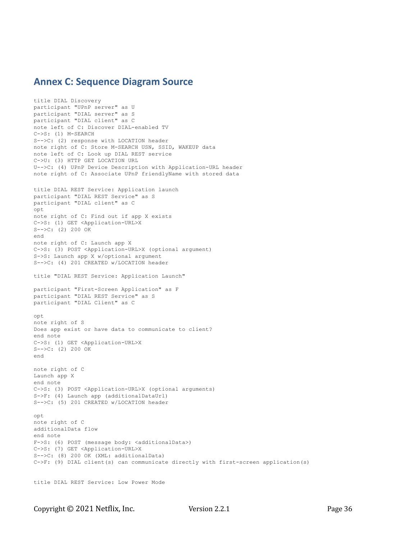# **Annex C: Sequence Diagram Source**

title DIAL Discovery participant "UPnP server" as U participant "DIAL server" as S participant "DIAL client" as C note left of C: Discover DIAL-enabled TV C->S: (1) M-SEARCH S-->C: (2) response with LOCATION header note right of C: Store M-SEARCH USN, SSID, WAKEUP data note left of C: Look up DIAL REST service C->U: (3) HTTP GET LOCATION URL U-->C: (4) UPnP Device Description with Application-URL header note right of C: Associate UPnP friendlyName with stored data title DIAL REST Service: Application launch participant "DIAL REST Service" as S participant "DIAL client" as C opt note right of C: Find out if app X exists C->S: (1) GET <Application-URL>X S-->C: (2) 200 OK end note right of C: Launch app X C->S: (3) POST <Application-URL>X (optional argument) S->S: Launch app X w/optional argument S-->C: (4) 201 CREATED w/LOCATION header title "DIAL REST Service: Application Launch" participant "First-Screen Application" as F participant "DIAL REST Service" as S participant "DIAL Client" as C opt note right of S Does app exist or have data to communicate to client? end note C->S: (1) GET <Application-URL>X S-->C: (2) 200 OK end note right of C Launch app X end note C->S: (3) POST <Application-URL>X (optional arguments) S->F: (4) Launch app (additionalDataUrl) S-->C: (5) 201 CREATED w/LOCATION header opt note right of C additionalData flow end note F->S: (6) POST (message body: <additionalData>) C->S: (7) GET <Application-URL>X S-->C: (8) 200 OK (XML: additionalData) C->F: (9) DIAL client(s) can communicate directly with first-screen application(s)

```
title DIAL REST Service: Low Power Mode
```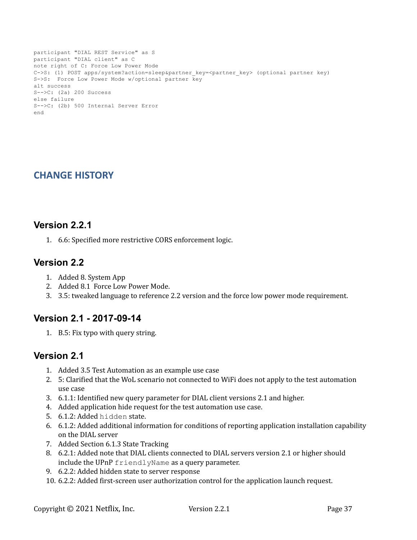```
participant "DIAL REST Service" as S
participant "DIAL client" as C
note right of C: Force Low Power Mode
C->S: (1) POST apps/system?action=sleep&partner key=<partner key> (optional partner key)
S->S: Force Low Power Mode w/optional partner key
alt success
S-->C: (2a) 200 Success
else failure
S-->C: (2b) 500 Internal Server Error
end
```
# **CHANGE HISTORY**

# **Version 2.2.1**

1. 6.6: Specified more restrictive CORS enforcement logic.

# **Version 2.2**

- 1. Added 8. System App
- 2. Added 8.1 Force Low Power Mode.
- 3. 3.5: tweaked language to reference 2.2 version and the force low power mode requirement.

# **Version 2.1 - 2017-09-14**

1. B.5: Fix typo with query string.

# **Version 2.1**

- 1. Added 3.5 Test Automation as an example use case
- 2. 5: Clarified that the WoL scenario not connected to WiFi does not apply to the test automation use case
- 3. 6.1.1: Identified new query parameter for DIAL client versions 2.1 and higher.
- 4. Added application hide request for the test automation use case.
- 5. 6.1.2: Added hidden state.
- 6. 6.1.2: Added additional information for conditions of reporting application installation capability on the DIAL server
- 7. Added Section 6.1.3 State Tracking
- 8. 6.2.1: Added note that DIAL clients connected to DIAL servers version 2.1 or higher should include the UPnP friendlyName as a query parameter.
- 9. 6.2.2: Added hidden state to server response
- 10. 6.2.2: Added first-screen user authorization control for the application launch request.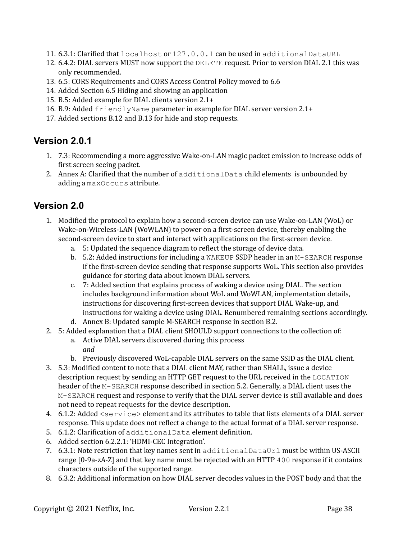- 11. 6.3.1: Clarified that localhost or 127.0.0.1 can be used in additionalDataURL
- 12. 6.4.2: DIAL servers MUST now support the DELETE request. Prior to version DIAL 2.1 this was only recommended.
- 13. 6.5: CORS Requirements and CORS Access Control Policy moved to 6.6
- 14. Added Section 6.5 Hiding and showing an application
- 15. B.5: Added example for DIAL clients version 2.1+
- 16. B.9: Added friendlyName parameter in example for DIAL server version 2.1+
- 17. Added sections B.12 and B.13 for hide and stop requests.

# **Version 2.0.1**

- 1. 7.3: Recommending a more aggressive Wake-on-LAN magic packet emission to increase odds of first screen seeing packet.
- 2. Annex A: Clarified that the number of additionalData child elements is unbounded by adding a maxOccurs attribute.

# **Version 2.0**

- 1. Modified the protocol to explain how a second-screen device can use Wake-on-LAN (WoL) or Wake-on-Wireless-LAN (WoWLAN) to power on a first-screen device, thereby enabling the second-screen device to start and interact with applications on the first-screen device.
	- a. 5: Updated the sequence diagram to reflect the storage of device data.
	- b.  $5.2$ : Added instructions for including a WAKEUP SSDP header in an M-SEARCH response if the first-screen device sending that response supports WoL. This section also provides guidance for storing data about known DIAL servers.
	- c. 7: Added section that explains process of waking a device using DIAL. The section includes background information about WoL and WoWLAN, implementation details, instructions for discovering first-screen devices that support DIAL Wake-up, and instructions for waking a device using DIAL. Renumbered remaining sections accordingly.
	- d. Annex B: Updated sample M-SEARCH response in section B.2.
- 2. 5: Added explanation that a DIAL client SHOULD support connections to the collection of:
	- a. Active DIAL servers discovered during this process *and*
	- b. Previously discovered WoL-capable DIAL servers on the same SSID as the DIAL client.
- 3. 5.3: Modified content to note that a DIAL client MAY, rather than SHALL, issue a device description request by sending an HTTP GET request to the URL received in the LOCATION header of the M-SEARCH response described in section 5.2. Generally, a DIAL client uses the M-SEARCH request and response to verify that the DIAL server device is still available and does not need to repeat requests for the device description.
- 4. 6.1.2: Added <service> element and its attributes to table that lists elements of a DIAL server response. This update does not reflect a change to the actual format of a DIAL server response.
- 5. 6.1.2: Clarification of additionalData element definition.
- 6. Added section 6.2.2.1: 'HDMI-CEC Integration'.
- 7. 6.3.1: Note restriction that key names sent in additional DataUrl must be within US-ASCII range [0-9a-zA-Z] and that key name must be rejected with an HTTP 400 response if it contains characters outside of the supported range.
- 8. 6.3.2: Additional information on how DIAL server decodes values in the POST body and that the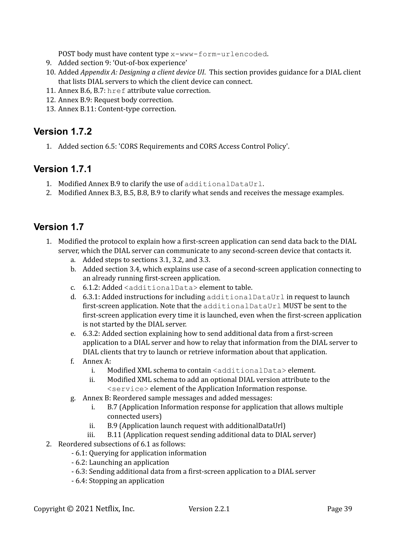POST body must have content type x-www-form-urlencoded.

- 9. Added section 9: 'Out-of-box experience'
- 10. Added *Appendix A: Designing a client device UI*. This section provides guidance for a DIAL client that lists DIAL servers to which the client device can connect.
- 11. Annex B.6, B.7: href attribute value correction.
- 12. Annex B.9: Request body correction.
- 13. Annex B.11: Content-type correction.

# **Version 1.7.2**

1. Added section 6.5: 'CORS Requirements and CORS Access Control Policy'.

# **Version 1.7.1**

- 1. Modified Annex B.9 to clarify the use of additionalDataUrl.
- 2. Modified Annex B.3, B.5, B.8, B.9 to clarify what sends and receives the message examples.

# **Version 1.7**

- 1. Modified the protocol to explain how a first-screen application can send data back to the DIAL server, which the DIAL server can communicate to any second-screen device that contacts it.
	- a. Added steps to sections 3.1, 3.2, and 3.3.
	- b. Added section 3.4, which explains use case of a second-screen application connecting to an already running first-screen application.
	- c. 6.1.2: Added <additionalData> element to table.
	- d.  $6.3.1$ : Added instructions for including additional DataUrl in request to launch first-screen application. Note that the additionalDataUrl MUST be sent to the first-screen application every time it is launched, even when the first-screen application is not started by the DIAL server.
	- e. 6.3.2: Added section explaining how to send additional data from a first-screen application to a DIAL server and how to relay that information from the DIAL server to DIAL clients that try to launch or retrieve information about that application.
	- f. Annex A:
		- i. Modified XML schema to contain <additionalData> element.
		- ii. Modified XML schema to add an optional DIAL version attribute to the <service> element of the Application Information response.
	- g. Annex B: Reordered sample messages and added messages:
		- i. B.7 (Application Information response for application that allows multiple connected users)
		- ii. B.9 (Application launch request with additionalDataUrl)
		- iii. B.11 (Application request sending additional data to DIAL server)
- 2. Reordered subsections of 6.1 as follows:
	- 6.1: Querying for application information
	- 6.2: Launching an application
	- 6.3: Sending additional data from a first-screen application to a DIAL server
	- 6.4: Stopping an application